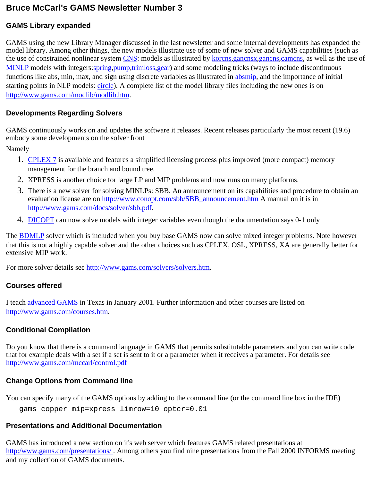# **Bruce McCarl's GAMS Newsletter Number 3**

#### **GAMS Library expanded**

GAMS using the new Library Manager discussed in the last newsletter and some internal developments has expanded the model library. Among other things, the new models illustrate use of some of new solver and GAMS capabilities (such as the use of constrained nonlinear system [CNS:](http://www.gams.com/modtype/cns.htm) models as illustrated by [korcns,](http://www.gams.com/modlib/libhtml/korcns.htm)[gancnsx](http://www.gams.com/modlib/libhtml/gancnsx.htm)[,gancns,](http://www.gams.com/modlib/libhtml/gancns.htm)[camcns,](http://www.gams.com/modlib/libhtml/camcns.htm) as well as the use of [MINLP](http://www.gams.com/modtype/minlp.htm) models with integers: [spring,](http://www.gams.com/modlib/libhtml/spring.htm) [pump,](http://www.gams.com/modlib/libhtml/pump.htm) [trimloss,](http://www.gams.com/modlib/libhtml/trimloss.htm) [gear](http://www.gams.com/modlib/libhtml/gear.htm)) and some modeling tricks (ways to include discontinuous functions like abs, min, max, and sign using discrete variables as illustrated in [absmip,](http://www.gams.com/modlib/libhtml/absmip.htm) and the importance of initial starting points in NLP models: [circle\)](http://www.gams.com/modlib/libhtml/circle.htm). A complete list of the model library files including the new ones is on <http://www.gams.com/modlib/modlib.htm>.

#### **Developments Regarding Solvers**

GAMS continuously works on and updates the software it releases. Recent releases particularly the most recent (19.6) embody some developments on the solver front

Namely

- 1. [CPLEX 7](http://www.gams.com/docs/solver/cplex.pdf) is available and features a simplified licensing process plus improved (more compact) memory management for the branch and bound tree.
- 2. XPRESS is another choice for large LP and MIP problems and now runs on many platforms.
- There is a new solver for solving MINLPs: SBB. An announcement on its capabilities and procedure to obtain an 3. evaluation license are on [http://www.conopt.com/sbb/SBB\\_announcement.htm](http://www.conopt.com/sbb/SBB_announcement.htm) A manual on it is in [http://www.gams.com/docs/solver/sbb.pdf.](http://www.gams.com/docs/solver/sbb.pdf)
- 4. [DICOPT](http://www.gams.com/docs/solver/dicopt.pdf) can now solve models with integer variables even though the documentation says 0-1 only

The [BDMLP](http://www.gams.com/solvers/solvers.htm#BDMLP) solver which is included when you buy base GAMS now can solve mixed integer problems. Note however that this is not a highly capable solver and the other choices such as CPLEX, OSL, XPRESS, XA are generally better for extensive MIP work.

For more solver details see<http://www.gams.com/solvers/solvers.htm>.

# **Courses offered**

I teach [advanced GAMS](http://www.gams.com/mccarl/advanced.htm) in Texas in January 2001. Further information and other courses are listed on [http://www.gams.com/courses.htm.](http://www.gams.com/courses.htm)

# **Conditional Compilation**

Do you know that there is a command language in GAMS that permits substitutable parameters and you can write code that for example deals with a set if a set is sent to it or a parameter when it receives a parameter. For details see <http://www.gams.com/mccarl/control.pdf>

# **Change Options from Command line**

You can specify many of the GAMS options by adding to the command line (or the command line box in the IDE)

gams copper mip=xpress limrow=10 optcr=0.01

# **Presentations and Additional Documentation**

GAMS has introduced a new section on it's web server which features GAMS related presentations at [http:/www.gams.com/presentations/](http://www.gams.com/presentations/) . Among others you find nine presentations from the Fall 2000 INFORMS meeting and my collection of GAMS documents.